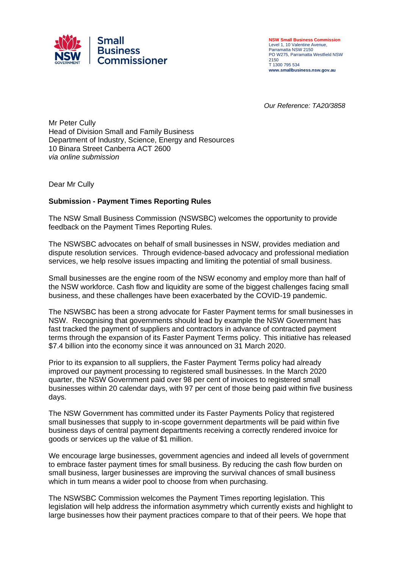

**NSW Small Business Commission** Level 1, 10 Valentine Avenue, Parramatta NSW 2150 PO W275, Parramatta Westfield NSW 2150 T 1300 795 534 **www.smallbusiness.nsw.gov.au**

*Our Reference: TA20/3858*

Mr Peter Cully Head of Division Small and Family Business Department of Industry, Science, Energy and Resources 10 Binara Street Canberra ACT 2600 *via online submission*

Dear Mr Cully

## **Submission - Payment Times Reporting Rules**

The NSW Small Business Commission (NSWSBC) welcomes the opportunity to provide feedback on the Payment Times Reporting Rules.

The NSWSBC advocates on behalf of small businesses in NSW, provides mediation and dispute resolution services. Through evidence-based advocacy and professional mediation services, we help resolve issues impacting and limiting the potential of small business.

Small businesses are the engine room of the NSW economy and employ more than half of the NSW workforce. Cash flow and liquidity are some of the biggest challenges facing small business, and these challenges have been exacerbated by the COVID-19 pandemic.

The NSWSBC has been a strong advocate for Faster Payment terms for small businesses in NSW. Recognising that governments should lead by example the NSW Government has fast tracked the payment of suppliers and contractors in advance of contracted payment terms through the expansion of its Faster Payment Terms policy. This initiative has released \$7.4 billion into the economy since it was announced on 31 March 2020.

Prior to its expansion to all suppliers, the Faster Payment Terms policy had already improved our payment processing to registered small businesses. In the March 2020 quarter, the NSW Government paid over 98 per cent of invoices to registered small businesses within 20 calendar days, with 97 per cent of those being paid within five business days.

The NSW Government has committed under its Faster Payments Policy that registered small businesses that supply to in-scope government departments will be paid within five business days of central payment departments receiving a correctly rendered invoice for goods or services up the value of \$1 million.

We encourage large businesses, government agencies and indeed all levels of government to embrace faster payment times for small business. By reducing the cash flow burden on small business, larger businesses are improving the survival chances of small business which in turn means a wider pool to choose from when purchasing.

The NSWSBC Commission welcomes the Payment Times reporting legislation. This legislation will help address the information asymmetry which currently exists and highlight to large businesses how their payment practices compare to that of their peers. We hope that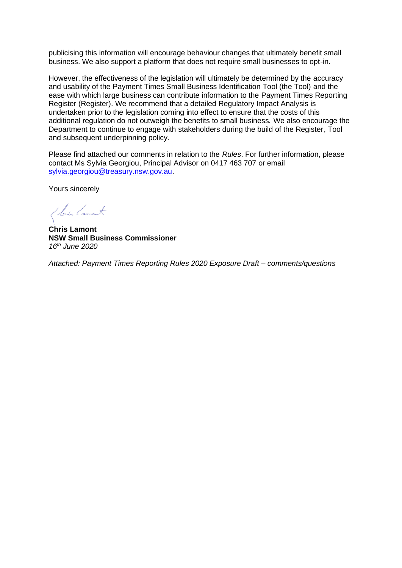publicising this information will encourage behaviour changes that ultimately benefit small business. We also support a platform that does not require small businesses to opt-in.

However, the effectiveness of the legislation will ultimately be determined by the accuracy and usability of the Payment Times Small Business Identification Tool (the Tool) and the ease with which large business can contribute information to the Payment Times Reporting Register (Register). We recommend that a detailed Regulatory Impact Analysis is undertaken prior to the legislation coming into effect to ensure that the costs of this additional regulation do not outweigh the benefits to small business. We also encourage the Department to continue to engage with stakeholders during the build of the Register, Tool and subsequent underpinning policy.

Please find attached our comments in relation to the *Rules*. For further information, please contact Ms Sylvia Georgiou, Principal Advisor on 0417 463 707 or email [sylvia.georgiou@treasury.nsw.gov.au.](mailto:Lee.Holloway@treasury.nsw.gov.au)

Yours sincerely

1 bis Canant

**Chris Lamont NSW Small Business Commissioner** *16th June 2020*

*Attached: Payment Times Reporting Rules 2020 Exposure Draft – comments/questions*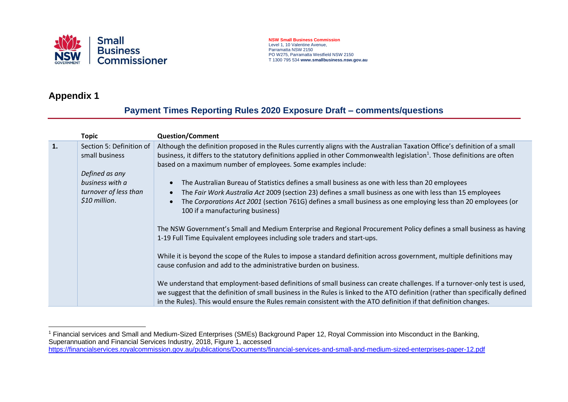

## **NSW Small Business Commission** Level 1, 10 Valentine Avenue, Parramatta NSW 2150 PO W275, Parramatta Westfield NSW 2150 T 1300 795 534 **www.smallbusiness.nsw.gov.au**

## **Appendix 1**

## **Payment Times Reporting Rules 2020 Exposure Draft – comments/questions**

|    | <b>Topic</b>                               | <b>Question/Comment</b>                                                                                                                                                                                                                                                                                                                |
|----|--------------------------------------------|----------------------------------------------------------------------------------------------------------------------------------------------------------------------------------------------------------------------------------------------------------------------------------------------------------------------------------------|
| 1. | Section 5: Definition of<br>small business | Although the definition proposed in the Rules currently aligns with the Australian Taxation Office's definition of a small<br>business, it differs to the statutory definitions applied in other Commonwealth legislation <sup>1</sup> . Those definitions are often<br>based on a maximum number of employees. Some examples include: |
|    | Defined as any                             |                                                                                                                                                                                                                                                                                                                                        |
|    | business with a                            | The Australian Bureau of Statistics defines a small business as one with less than 20 employees                                                                                                                                                                                                                                        |
|    | turnover of less than<br>\$10 million.     | The Fair Work Australia Act 2009 (section 23) defines a small business as one with less than 15 employees<br>The Corporations Act 2001 (section 761G) defines a small business as one employing less than 20 employees (or                                                                                                             |
|    |                                            | 100 if a manufacturing business)                                                                                                                                                                                                                                                                                                       |
|    |                                            | The NSW Government's Small and Medium Enterprise and Regional Procurement Policy defines a small business as having                                                                                                                                                                                                                    |
|    |                                            | 1-19 Full Time Equivalent employees including sole traders and start-ups.                                                                                                                                                                                                                                                              |
|    |                                            | While it is beyond the scope of the Rules to impose a standard definition across government, multiple definitions may                                                                                                                                                                                                                  |
|    |                                            | cause confusion and add to the administrative burden on business.                                                                                                                                                                                                                                                                      |
|    |                                            | We understand that employment-based definitions of small business can create challenges. If a turnover-only test is used,                                                                                                                                                                                                              |
|    |                                            | we suggest that the definition of small business in the Rules is linked to the ATO definition (rather than specifically defined<br>in the Rules). This would ensure the Rules remain consistent with the ATO definition if that definition changes.                                                                                    |

<sup>&</sup>lt;sup>1</sup> Financial services and Small and Medium-Sized Enterprises (SMEs) Background Paper 12, Royal Commission into Misconduct in the Banking, Superannuation and Financial Services Industry, 2018, Figure 1, accessed <https://financialservices.royalcommission.gov.au/publications/Documents/financial-services-and-small-and-medium-sized-enterprises-paper-12.pdf>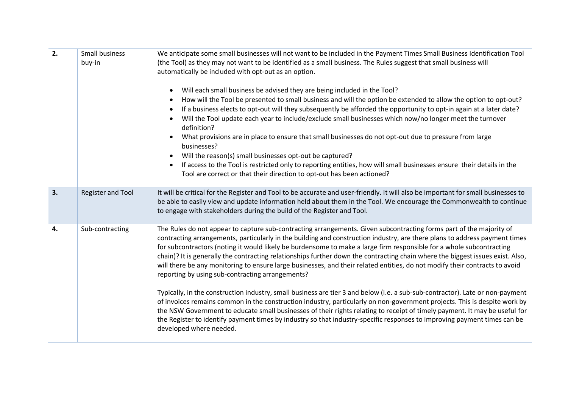| 2. | Small business<br>buy-in | We anticipate some small businesses will not want to be included in the Payment Times Small Business Identification Tool<br>(the Tool) as they may not want to be identified as a small business. The Rules suggest that small business will<br>automatically be included with opt-out as an option.<br>Will each small business be advised they are being included in the Tool?<br>$\bullet$<br>How will the Tool be presented to small business and will the option be extended to allow the option to opt-out?<br>If a business elects to opt-out will they subsequently be afforded the opportunity to opt-in again at a later date?<br>Will the Tool update each year to include/exclude small businesses which now/no longer meet the turnover<br>definition?<br>What provisions are in place to ensure that small businesses do not opt-out due to pressure from large<br>businesses?<br>Will the reason(s) small businesses opt-out be captured?<br>If access to the Tool is restricted only to reporting entities, how will small businesses ensure their details in the<br>$\bullet$<br>Tool are correct or that their direction to opt-out has been actioned?                                                                          |
|----|--------------------------|---------------------------------------------------------------------------------------------------------------------------------------------------------------------------------------------------------------------------------------------------------------------------------------------------------------------------------------------------------------------------------------------------------------------------------------------------------------------------------------------------------------------------------------------------------------------------------------------------------------------------------------------------------------------------------------------------------------------------------------------------------------------------------------------------------------------------------------------------------------------------------------------------------------------------------------------------------------------------------------------------------------------------------------------------------------------------------------------------------------------------------------------------------------------------------------------------------------------------------------------------|
| 3. | <b>Register and Tool</b> | It will be critical for the Register and Tool to be accurate and user-friendly. It will also be important for small businesses to<br>be able to easily view and update information held about them in the Tool. We encourage the Commonwealth to continue<br>to engage with stakeholders during the build of the Register and Tool.                                                                                                                                                                                                                                                                                                                                                                                                                                                                                                                                                                                                                                                                                                                                                                                                                                                                                                               |
| 4. | Sub-contracting          | The Rules do not appear to capture sub-contracting arrangements. Given subcontracting forms part of the majority of<br>contracting arrangements, particularly in the building and construction industry, are there plans to address payment times<br>for subcontractors (noting it would likely be burdensome to make a large firm responsible for a whole subcontracting<br>chain)? It is generally the contracting relationships further down the contracting chain where the biggest issues exist. Also,<br>will there be any monitoring to ensure large businesses, and their related entities, do not modify their contracts to avoid<br>reporting by using sub-contracting arrangements?<br>Typically, in the construction industry, small business are tier 3 and below (i.e. a sub-sub-contractor). Late or non-payment<br>of invoices remains common in the construction industry, particularly on non-government projects. This is despite work by<br>the NSW Government to educate small businesses of their rights relating to receipt of timely payment. It may be useful for<br>the Register to identify payment times by industry so that industry-specific responses to improving payment times can be<br>developed where needed. |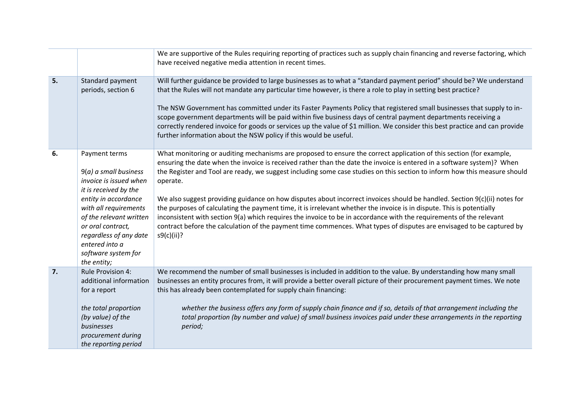|    |                                                                                                                                                                                                                                                                                | We are supportive of the Rules requiring reporting of practices such as supply chain financing and reverse factoring, which<br>have received negative media attention in recent times.                                                                                                                                                                                                                                                                                                                                                                                                                                                                                                                                                                                                                                                                                                                     |
|----|--------------------------------------------------------------------------------------------------------------------------------------------------------------------------------------------------------------------------------------------------------------------------------|------------------------------------------------------------------------------------------------------------------------------------------------------------------------------------------------------------------------------------------------------------------------------------------------------------------------------------------------------------------------------------------------------------------------------------------------------------------------------------------------------------------------------------------------------------------------------------------------------------------------------------------------------------------------------------------------------------------------------------------------------------------------------------------------------------------------------------------------------------------------------------------------------------|
| 5. | Standard payment<br>periods, section 6                                                                                                                                                                                                                                         | Will further guidance be provided to large businesses as to what a "standard payment period" should be? We understand<br>that the Rules will not mandate any particular time however, is there a role to play in setting best practice?<br>The NSW Government has committed under its Faster Payments Policy that registered small businesses that supply to in-<br>scope government departments will be paid within five business days of central payment departments receiving a<br>correctly rendered invoice for goods or services up the value of \$1 million. We consider this best practice and can provide<br>further information about the NSW policy if this would be useful.                                                                                                                                                                                                                    |
| 6. | Payment terms<br>$9(a)$ a small business<br>invoice is issued when<br>it is received by the<br>entity in accordance<br>with all requirements<br>of the relevant written<br>or oral contract,<br>regardless of any date<br>entered into a<br>software system for<br>the entity; | What monitoring or auditing mechanisms are proposed to ensure the correct application of this section (for example,<br>ensuring the date when the invoice is received rather than the date the invoice is entered in a software system)? When<br>the Register and Tool are ready, we suggest including some case studies on this section to inform how this measure should<br>operate.<br>We also suggest providing guidance on how disputes about incorrect invoices should be handled. Section 9(c)(ii) notes for<br>the purposes of calculating the payment time, it is irrelevant whether the invoice is in dispute. This is potentially<br>inconsistent with section 9(a) which requires the invoice to be in accordance with the requirements of the relevant<br>contract before the calculation of the payment time commences. What types of disputes are envisaged to be captured by<br>s9(c)(ii)? |
| 7. | <b>Rule Provision 4:</b><br>additional information<br>for a report<br>the total proportion<br>(by value) of the<br>businesses<br>procurement during<br>the reporting period                                                                                                    | We recommend the number of small businesses is included in addition to the value. By understanding how many small<br>businesses an entity procures from, it will provide a better overall picture of their procurement payment times. We note<br>this has already been contemplated for supply chain financing:<br>whether the business offers any form of supply chain finance and if so, details of that arrangement including the<br>total proportion (by number and value) of small business invoices paid under these arrangements in the reporting<br>period;                                                                                                                                                                                                                                                                                                                                        |